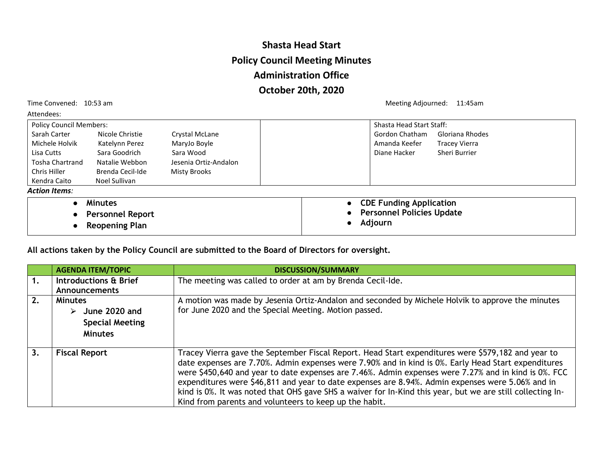## **Shasta Head Start Policy Council Meeting Minutes Administration Office October 20th, 2020**

Attendees:

Time Convened: 10:53 am Meeting Adjourned: 11:45am

| <b>Policy Council Members:</b> |                         |                       | <b>Shasta Head Start Staff:</b>  |                      |  |
|--------------------------------|-------------------------|-----------------------|----------------------------------|----------------------|--|
| Sarah Carter                   | Nicole Christie         | Crystal McLane        | <b>Gordon Chatham</b>            | Gloriana Rhodes      |  |
| Michele Holvik                 | Katelynn Perez          | MaryJo Boyle          | Amanda Keefer                    | <b>Tracey Vierra</b> |  |
| Lisa Cutts                     | Sara Goodrich           | Sara Wood             | Diane Hacker                     | Sheri Burrier        |  |
| <b>Tosha Chartrand</b>         | Natalie Webbon          | Jesenia Ortiz-Andalon |                                  |                      |  |
| Chris Hiller                   | Brenda Cecil-Ide        | Misty Brooks          |                                  |                      |  |
| Kendra Caito                   | Noel Sullivan           |                       |                                  |                      |  |
| <b>Action Items:</b>           |                         |                       |                                  |                      |  |
| $\bullet$                      | <b>Minutes</b>          |                       | <b>CDE Funding Application</b>   |                      |  |
| $\bullet$                      | <b>Personnel Report</b> |                       | <b>Personnel Policies Update</b> |                      |  |
|                                | <b>Reopening Plan</b>   |                       | Adjourn                          |                      |  |

**All actions taken by the Policy Council are submitted to the Board of Directors for oversight.**

|    | <b>AGENDA ITEM/TOPIC</b> | <b>DISCUSSION/SUMMARY</b>                                                                                                                                                                                 |  |
|----|--------------------------|-----------------------------------------------------------------------------------------------------------------------------------------------------------------------------------------------------------|--|
| 1. | Introductions & Brief    | The meeting was called to order at am by Brenda Cecil-Ide.                                                                                                                                                |  |
|    | Announcements            |                                                                                                                                                                                                           |  |
| 2. | <b>Minutes</b>           | A motion was made by Jesenia Ortiz-Andalon and seconded by Michele Holvik to approve the minutes<br>for June 2020 and the Special Meeting. Motion passed.                                                 |  |
|    | June 2020 and<br>➤       |                                                                                                                                                                                                           |  |
|    | <b>Special Meeting</b>   |                                                                                                                                                                                                           |  |
|    | <b>Minutes</b>           |                                                                                                                                                                                                           |  |
|    |                          |                                                                                                                                                                                                           |  |
| 3. | <b>Fiscal Report</b>     | Tracey Vierra gave the September Fiscal Report. Head Start expenditures were \$579,182 and year to<br>date expenses are 7.70%. Admin expenses were 7.90% and in kind is 0%. Early Head Start expenditures |  |
|    |                          | were \$450,640 and year to date expenses are 7.46%. Admin expenses were 7.27% and in kind is 0%. FCC                                                                                                      |  |
|    |                          | expenditures were \$46,811 and year to date expenses are 8.94%. Admin expenses were 5.06% and in                                                                                                          |  |
|    |                          | kind is 0%. It was noted that OHS gave SHS a waiver for In-Kind this year, but we are still collecting In-                                                                                                |  |
|    |                          | Kind from parents and volunteers to keep up the habit.                                                                                                                                                    |  |